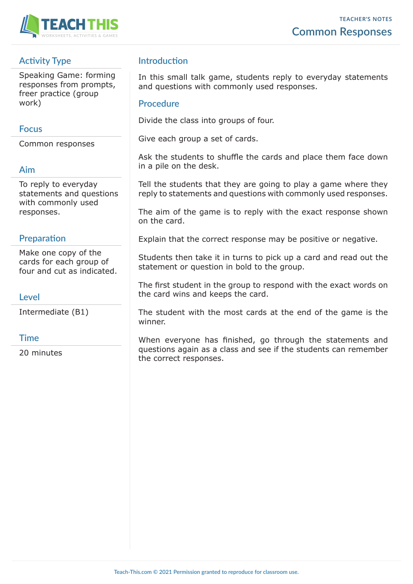

## **Activity Type**

Speaking Game: forming responses from prompts, freer practice (group work)

## **Focus**

Common responses

## **Aim**

To reply to everyday statements and questions with commonly used responses.

#### **Preparation**

Make one copy of the cards for each group of four and cut as indicated.

### **Level**

Intermediate (B1)

### **Time**

20 minutes

## **Introduction**

In this small talk game, students reply to everyday statements and questions with commonly used responses.

#### **Procedure**

Divide the class into groups of four.

Give each group a set of cards.

Ask the students to shuffle the cards and place them face down in a pile on the desk.

Tell the students that they are going to play a game where they reply to statements and questions with commonly used responses.

The aim of the game is to reply with the exact response shown on the card.

Explain that the correct response may be positive or negative.

Students then take it in turns to pick up a card and read out the statement or question in bold to the group.

The first student in the group to respond with the exact words on the card wins and keeps the card.

The student with the most cards at the end of the game is the winner.

When everyone has finished, go through the statements and questions again as a class and see if the students can remember the correct responses.